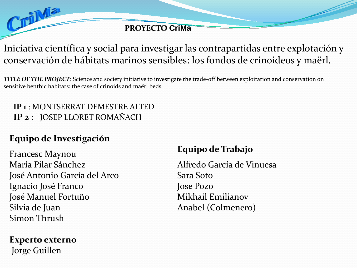**PROYECTO CriMa**

# Iniciativa científica y social para investigar las contrapartidas entre explotación y conservación de hábitats marinos sensibles: los fondos de crinoideos y maërl.

*TITLE OF THE PROJECT*: Science and society initiative to investigate the trade-off between exploitation and conservation on sensitive benthic habitats: the case of crinoids and maërl beds.

#### **IP 1** : MONTSERRAT DEMESTRE ALTED **IP 2** : JOSEP LLORET ROMAÑACH

## **Equipo de Investigación**

CriMa

Francesc Maynou María Pilar Sánchez José Antonio García del Arco Ignacio José Franco José Manuel Fortuño Silvia de Juan Simon Thrush

**Experto externo** Jorge Guillen

## **Equipo de Trabajo**

Alfredo García de Vinuesa Sara Soto Jose Pozo Mikhail Emilianov Anabel (Colmenero)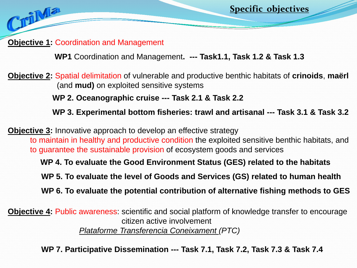**Objective 1:** Coordination and Management

CriMa

**WP1** Coordination and Management**. --- Task1.1, Task 1.2 & Task 1.3**

**Objective 2:** Spatial delimitation of vulnerable and productive benthic habitats of **crinoids**, **maërl** (and **mud)** on exploited sensitive systems

**WP 2. Oceanographic cruise --- Task 2.1 & Task 2.2**

**WP 3. Experimental bottom fisheries: trawl and artisanal --- Task 3.1 & Task 3.2**

**Specific objectives**

**Objective 3:** Innovative approach to develop an effective strategy to maintain in healthy and productive condition the exploited sensitive benthic habitats, and to guarantee the sustainable provision of ecosystem goods and services

**WP 4. To evaluate the Good Environment Status (GES) related to the habitats** 

**WP 5. To evaluate the level of Goods and Services (GS) related to human health** 

**WP 6. To evaluate the potential contribution of alternative fishing methods to GES**

**Objective 4:** Public awareness: scientific and social platform of knowledge transfer to encourage citizen active involvement *Plataforme Transferencia Coneixament (PTC)*

**WP 7. Participative Dissemination --- Task 7.1, Task 7.2, Task 7.3 & Task 7.4**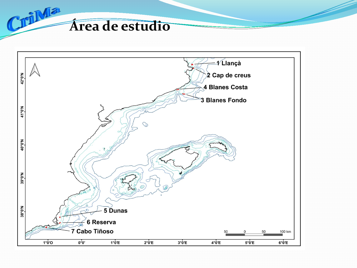